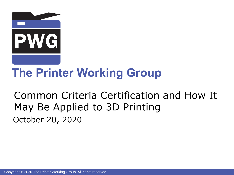

# **The Printer Working Group**

### Common Criteria Certification and How It May Be Applied to 3D Printing October 20, 2020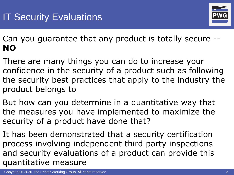

Can you guarantee that any product is totally secure -- **NO**

- There are many things you can do to increase your confidence in the security of a product such as following the security best practices that apply to the industry the product belongs to
- But how can you determine in a quantitative way that the measures you have implemented to maximize the security of a product have done that?
- It has been demonstrated that a security certification process involving independent third party inspections and security evaluations of a product can provide this quantitative measure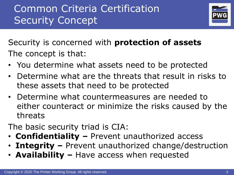## Common Criteria Certification Security Concept



Security is concerned with **protection of assets** The concept is that:

- You determine what assets need to be protected
- Determine what are the threats that result in risks to these assets that need to be protected
- Determine what countermeasures are needed to either counteract or minimize the risks caused by the threats
- The basic security triad is CIA:
- **Confidentiality –** Prevent unauthorized access
- **Integrity –** Prevent unauthorized change/destruction
- **Availability –** Have access when requested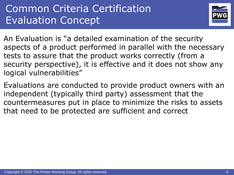### Common Criteria Certification Evaluation Concept



An Evaluation is "a detailed examination of the security aspects of a product performed in parallel with the necessary tests to assure that the product works correctly (from a security perspective), it is effective and it does not show any logical vulnerabilities"

Evaluations are conducted to provide product owners with an independent (typically third party) assessment that the countermeasures put in place to minimize the risks to assets that need to be protected are sufficient and correct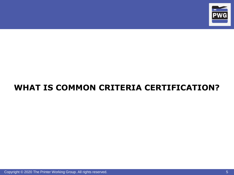

#### **WHAT IS COMMON CRITERIA CERTIFICATION?**

Copyright © 2020 The Printer Working Group. All rights reserved. 5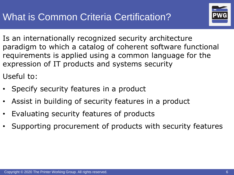

Is an internationally recognized security architecture paradigm to which a catalog of coherent software functional requirements is applied using a common language for the expression of IT products and systems security

Useful to:

- Specify security features in a product
- Assist in building of security features in a product
- Evaluating security features of products
- Supporting procurement of products with security features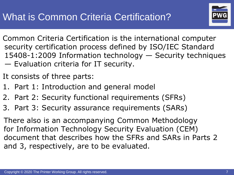

- Common Criteria Certification is the international computer security certification process defined by ISO/IEC Standard 15408-1:2009 Information technology — Security techniques — Evaluation criteria for IT security.
- It consists of three parts:
- 1. Part 1: Introduction and general model
- 2. Part 2: Security functional requirements (SFRs)
- 3. Part 3: Security assurance requirements (SARs)

There also is an accompanying Common Methodology for Information Technology Security Evaluation (CEM) document that describes how the SFRs and SARs in Parts 2 and 3, respectively, are to be evaluated.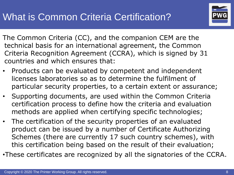

- The Common Criteria (CC), and the companion CEM are the technical basis for an international agreement, the Common Criteria Recognition Agreement (CCRA), which is signed by 31 countries and which ensures that:
- Products can be evaluated by competent and independent licenses laboratories so as to determine the fulfilment of particular security properties, to a certain extent or assurance;
- Supporting documents, are used within the Common Criteria certification process to define how the criteria and evaluation methods are applied when certifying specific technologies;
- The certification of the security properties of an evaluated product can be issued by a number of Certificate Authorizing Schemes (there are currently 17 such country schemes), with this certification being based on the result of their evaluation;
- •These certificates are recognized by all the signatories of the CCRA.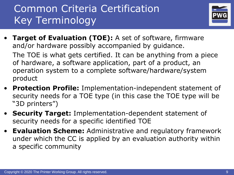

• **Target of Evaluation (TOE):** A set of software, firmware and/or hardware possibly accompanied by guidance.

The TOE is what gets certified. It can be anything from a piece of hardware, a software application, part of a product, an operation system to a complete software/hardware/system product

- **Protection Profile:** Implementation-independent statement of security needs for a TOE type (in this case the TOE type will be "3D printers")
- **Security Target:** Implementation-dependent statement of security needs for a specific identified TOE
- **Evaluation Scheme:** Administrative and regulatory framework under which the CC is applied by an evaluation authority within a specific community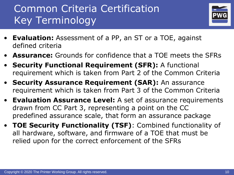

- **Evaluation:** Assessment of a PP, an ST or a TOE, against defined criteria
- **Assurance:** Grounds for confidence that a TOE meets the SFRs
- **Security Functional Requirement (SFR):** A functional requirement which is taken from Part 2 of the Common Criteria
- **Security Assurance Requirement (SAR):** An assurance requirement which is taken from Part 3 of the Common Criteria
- **Evaluation Assurance Level:** A set of assurance requirements drawn from CC Part 3, representing a point on the CC predefined assurance scale, that form an assurance package
- **TOE Security Functionality (TSF)**: Combined functionality of all hardware, software, and firmware of a TOE that must be relied upon for the correct enforcement of the SFRs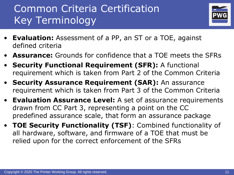

- **Evaluation:** Assessment of a PP, an ST or a TOE, against defined criteria
- **Assurance:** Grounds for confidence that a TOE meets the SFRs
- **Security Functional Requirement (SFR):** A functional requirement which is taken from Part 2 of the Common Criteria
- **Security Assurance Requirement (SAR):** An assurance requirement which is taken from Part 3 of the Common Criteria
- **Evaluation Assurance Level:** A set of assurance requirements drawn from CC Part 3, representing a point on the CC predefined assurance scale, that form an assurance package
- **TOE Security Functionality (TSF)**: Combined functionality of all hardware, software, and firmware of a TOE that must be relied upon for the correct enforcement of the SFRs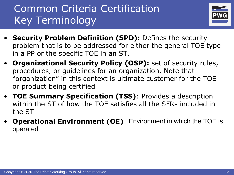

- **Security Problem Definition (SPD):** Defines the security problem that is to be addressed for either the general TOE type in a PP or the specific TOE in an ST.
- **Organizational Security Policy (OSP):** set of security rules, procedures, or guidelines for an organization. Note that "organization" in this context is ultimate customer for the TOE or product being certified
- **TOE Summary Specification (TSS)**: Provides a description within the ST of how the TOE satisfies all the SFRs included in the ST
- **Operational Environment (OE)**: Environment in which the TOE is operated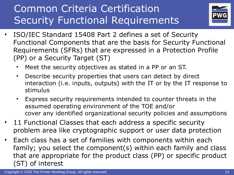## Common Criteria Certification Security Functional Requirements



- ISO/IEC Standard 15408 Part 2 defines a set of Security Functional Components that are the basis for Security Functional Requirements (SFRs) that are expressed in a Protection Profile (PP) or a Security Target (ST)
	- Meet the security objectives as stated in a PP or an ST.
	- Describe security properties that users can detect by direct interaction (i.e. inputs, outputs) with the IT or by the IT response to stimulus
	- Express security requirements intended to counter threats in the assumed operating environment of the TOE and/or cover any identified organizational security policies and assumptions
- 11 Functional Classes that each address a specific security problem area like cryptographic support or user data protection
- Each class has a set of families with components within each family; you select the component(s) within each family and class that are appropriate for the product class (PP) or specific product (ST) of interest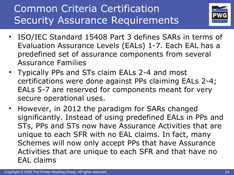## Common Criteria Certification Security Assurance Requirements



- ISO/IEC Standard 15408 Part 3 defines SARs in terms of Evaluation Assurance Levels (EALs) 1-7. Each EAL has a predefined set of assurance components from several Assurance Families
- Typically PPs and STs claim EALs 2-4 and most certifications were done against PPs claiming EALs 2-4; EALs 5-7 are reserved for components meant for very secure operational uses.
- However, in 2012 the paradigm for SARs changed significantly. Instead of using predefined EALs in PPs and STs, PPs and STs now have Assurance Activities that are unique to each SFR with no EAL claims. In fact, many Schemes will now only accept PPs that have Assurance Activities that are unique to each SFR and that have no EAL claims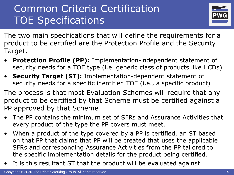### Common Criteria Certification TOE Specifications



The two main specifications that will define the requirements for a product to be certified are the Protection Profile and the Security Target.

- **Protection Profile (PP):** Implementation-independent statement of security needs for a TOE type (i.e. generic class of products like HCDs)
- **Security Target (ST):** Implementation-dependent statement of security needs for a specific identified TOE (i.e., a specific product)

The process is that most Evaluation Schemes will require that any product to be certified by that Scheme must be certified against a PP approved by that Scheme

- The PP contains the minimum set of SFRs and Assurance Activities that every product of the type the PP covers must meet.
- When a product of the type covered by a PP is certified, an ST based on that PP that claims that PP will be created that uses the applicable SFRs and corresponding Assurance Activities from the PP tailored to the specific implementation details for the product being certified.
- It is this resultant ST that the product will be evaluated against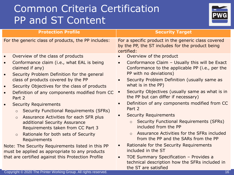### Common Criteria Certification PP and ST Content



| <b>Protection Profile</b>                                                                                                                                                                                                                                                                                                                                                                                                                                                                                                                                                                                                                                                                                                                                                                                                                 | <b>Security Target</b>                                                                                                                                                                                                                                                                                                                                                                                                                                                                                                                                                                                                                                                                                                                                                                                                                                 |
|-------------------------------------------------------------------------------------------------------------------------------------------------------------------------------------------------------------------------------------------------------------------------------------------------------------------------------------------------------------------------------------------------------------------------------------------------------------------------------------------------------------------------------------------------------------------------------------------------------------------------------------------------------------------------------------------------------------------------------------------------------------------------------------------------------------------------------------------|--------------------------------------------------------------------------------------------------------------------------------------------------------------------------------------------------------------------------------------------------------------------------------------------------------------------------------------------------------------------------------------------------------------------------------------------------------------------------------------------------------------------------------------------------------------------------------------------------------------------------------------------------------------------------------------------------------------------------------------------------------------------------------------------------------------------------------------------------------|
| For the generic class of products, the PP includes:                                                                                                                                                                                                                                                                                                                                                                                                                                                                                                                                                                                                                                                                                                                                                                                       | For a specific product in the generic class covered<br>by the PP, the ST includes for the product being<br>certified:                                                                                                                                                                                                                                                                                                                                                                                                                                                                                                                                                                                                                                                                                                                                  |
| Overview of the class of products<br>$\bullet$<br>Conformance claim (i.e., what EAL is being<br>$\bullet$<br>claimed if any)<br>Security Problem Definition for the general<br>$\bullet$<br>class of products covered by the PP<br>Security Objectives for the class of products<br>$\bullet$<br>Definition of any components modified from CC<br>$\bullet$<br>Part 2<br><b>Security Requirements</b><br>$\bullet$<br><b>Security Functional Requirements (SFRs)</b><br>$\circ$<br>Assurance Activities for each SFR plus<br>$\circ$<br>additional Security Assurance<br>Requirements taken from CC Part 3<br>Rationale for both sets of Security<br>$\circ$<br>Requirements<br>Note: The Security Requirements listed in this PP<br>must be applied as appropriate to any products<br>that are certified against this Protection Profile | Overview of the product<br>Conformance Claim - Usually this will be Exact<br>$\bullet$<br>Conformance to the applicable PP (i.e., per the<br>PP with no deviations)<br>Security Problem Definition (usually same as<br>$\bullet$<br>what is in the PP)<br>Security Objectives (usually same as what is in<br>the PP but can differ if necessary)<br>Definition of any components modified from CC<br>$\bullet$<br>Part 2<br><b>Security Requirements</b><br>Security Functional Requirements (SFRs)<br>$\circ$<br>included from the PP<br>Assurance Activities for the SFRs included<br>$\circ$<br>from the PP and the SARs from the PP<br>Rationale for the Security Requirements<br>$\bullet$<br>included in the ST<br>TOE Summary Specification - Provides a<br>$\bullet$<br>technical description how the SFRs included in<br>the ST are satisfied |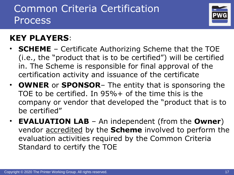### Common Criteria Certification **Process**



#### **KEY PLAYERS**:

- **SCHEME** Certificate Authorizing Scheme that the TOE (i.e., the "product that is to be certified") will be certified in. The Scheme is responsible for final approval of the certification activity and issuance of the certificate
- **OWNER** or **SPONSOR** The entity that is sponsoring the TOE to be certified. In 95%+ of the time this is the company or vendor that developed the "product that is to be certified"
- **EVALUATION LAB**  An independent (from the **Owner**) vendor accredited by the **Scheme** involved to perform the evaluation activities required by the Common Criteria Standard to certify the TOE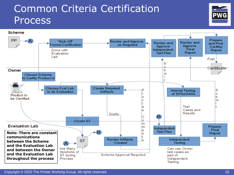#### Common Criteria Certification **Process**



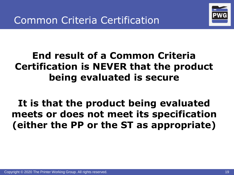

### **End result of a Common Criteria Certification is NEVER that the product being evaluated is secure**

**It is that the product being evaluated meets or does not meet its specification (either the PP or the ST as appropriate)**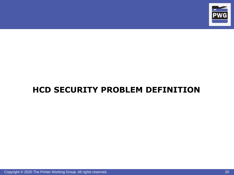

#### **HCD SECURITY PROBLEM DEFINITION**

Copyright © 2020 The Printer Working Group. All rights reserved. 20 All 20 All 20 All 20 All 20 All 20 All 20 All 20 All 20 All 20 All 20 All 20 All 20 All 20 All 20 All 20 All 20 All 20 All 20 All 20 All 20 All 20 All 20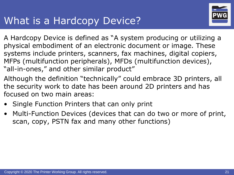#### What is a Hardcopy Device?



- A Hardcopy Device is defined as "A system producing or utilizing a physical embodiment of an electronic document or image. These systems include printers, scanners, fax machines, digital copiers, MFPs (multifunction peripherals), MFDs (multifunction devices), "all-in-ones," and other similar product"
- Although the definition "technically" could embrace 3D printers, all the security work to date has been around 2D printers and has focused on two main areas:
- Single Function Printers that can only print
- Multi-Function Devices (devices that can do two or more of print, scan, copy, PSTN fax and many other functions)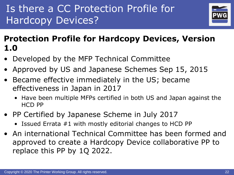## Is there a CC Protection Profile for Hardcopy Devices?



#### **Protection Profile for Hardcopy Devices, Version 1.0**

- Developed by the MFP Technical Committee
- Approved by US and Japanese Schemes Sep 15, 2015
- Became effective immediately in the US; became effectiveness in Japan in 2017
	- Have been multiple MFPs certified in both US and Japan against the HCD PP
- PP Certified by Japanese Scheme in July 2017
	- Issued Errata #1 with mostly editorial changes to HCD PP
- An international Technical Committee has been formed and approved to create a Hardcopy Device collaborative PP to replace this PP by 1Q 2022.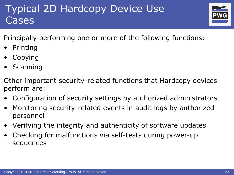## Typical 2D Hardcopy Device Use Cases



Principally performing one or more of the following functions:

- **Printing**
- **Copying**
- **Scanning**

Other important security-related functions that Hardcopy devices perform are:

- Configuration of security settings by authorized administrators
- Monitoring security-related events in audit logs by authorized personnel
- Verifying the integrity and authenticity of software updates
- Checking for malfunctions via self-tests during power-up sequences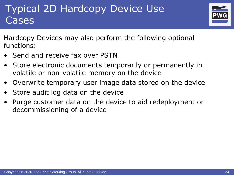### Typical 2D Hardcopy Device Use Cases



Hardcopy Devices may also perform the following optional functions:

- Send and receive fax over PSTN
- Store electronic documents temporarily or permanently in volatile or non-volatile memory on the device
- Overwrite temporary user image data stored on the device
- Store audit log data on the device
- Purge customer data on the device to aid redeployment or decommissioning of a device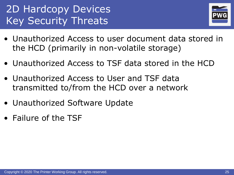## 2D Hardcopy Devices Key Security Threats



- Unauthorized Access to user document data stored in the HCD (primarily in non-volatile storage)
- Unauthorized Access to TSF data stored in the HCD
- Unauthorized Access to User and TSF data transmitted to/from the HCD over a network
- Unauthorized Software Update
- Failure of the TSF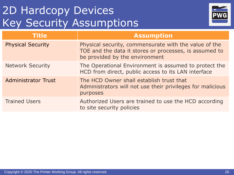## 2D Hardcopy Devices Key Security Assumptions



| <b>Title</b>               | <b>Assumption</b>                                                                                                                                 |
|----------------------------|---------------------------------------------------------------------------------------------------------------------------------------------------|
| <b>Physical Security</b>   | Physical security, commensurate with the value of the<br>TOE and the data it stores or processes, is assumed to<br>be provided by the environment |
| <b>Network Security</b>    | The Operational Environment is assumed to protect the<br>HCD from direct, public access to its LAN interface                                      |
| <b>Administrator Trust</b> | The HCD Owner shall establish trust that<br>Administrators will not use their privileges for malicious<br>purposes                                |
| <b>Trained Users</b>       | Authorized Users are trained to use the HCD according<br>to site security policies                                                                |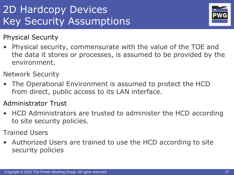## 2D Hardcopy Devices Key Security Assumptions



Physical Security

- Physical security, commensurate with the value of the TOE and the data it stores or processes, is assumed to be provided by the environment.
- Network Security
- The Operational Environment is assumed to protect the HCD from direct, public access to its LAN interface.
- Administrator Trust
- HCD Administrators are trusted to administer the HCD according to site security policies.
- Trained Users
- Authorized Users are trained to use the HCD according to site security policies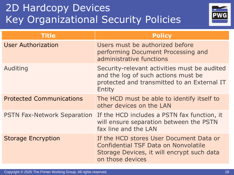## 2D Hardcopy Devices Key Organizational Security Policies



| Title                              | <b>Policy</b>                                                                                                                                            |
|------------------------------------|----------------------------------------------------------------------------------------------------------------------------------------------------------|
| <b>User Authorization</b>          | Users must be authorized before<br>performing Document Processing and<br>administrative functions                                                        |
| Auditing                           | Security-relevant activities must be audited<br>and the log of such actions must be<br>protected and transmitted to an External IT<br><b>Entity</b>      |
| <b>Protected Communications</b>    | The HCD must be able to identify itself to<br>other devices on the LAN                                                                                   |
| <b>PSTN Fax-Network Separation</b> | If the HCD includes a PSTN fax function, it<br>will ensure separation between the PSTN<br>fax line and the LAN                                           |
| <b>Storage Encryption</b>          | If the HCD stores User Document Data or<br><b>Confidential TSF Data on Nonvolatile</b><br>Storage Devices, it will encrypt such data<br>on those devices |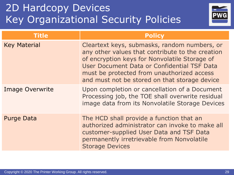### 2D Hardcopy Devices Key Organizational Security Policies



| <b>Title</b>           | <b>Policy</b>                                                                                                                                                                                                                                                                                   |
|------------------------|-------------------------------------------------------------------------------------------------------------------------------------------------------------------------------------------------------------------------------------------------------------------------------------------------|
| <b>Key Material</b>    | Cleartext keys, submasks, random numbers, or<br>any other values that contribute to the creation<br>of encryption keys for Nonvolatile Storage of<br>User Document Data or Confidential TSF Data<br>must be protected from unauthorized access<br>and must not be stored on that storage device |
| <b>Image Overwrite</b> | Upon completion or cancellation of a Document<br>Processing job, the TOE shall overwrite residual<br>image data from its Nonvolatile Storage Devices                                                                                                                                            |
| <b>Purge Data</b>      | The HCD shall provide a function that an<br>authorized administrator can invoke to make all<br>customer-supplied User Data and TSF Data<br>permanently irretrievable from Nonvolatile<br><b>Storage Devices</b>                                                                                 |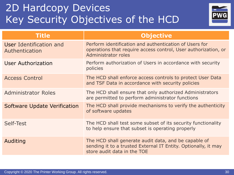### 2D Hardcopy Devices Key Security Objectives of the HCD



| Title                                     | <b>Objective</b>                                                                                                                                      |
|-------------------------------------------|-------------------------------------------------------------------------------------------------------------------------------------------------------|
| User Identification and<br>Authentication | Perform identification and authentication of Users for<br>operations that require access control, User authorization, or<br>Administrator roles       |
| <b>User Authorization</b>                 | Perform authorization of Users in accordance with security<br>policies                                                                                |
| <b>Access Control</b>                     | The HCD shall enforce access controls to protect User Data<br>and TSF Data in accordance with security policies                                       |
| <b>Administrator Roles</b>                | The HCD shall ensure that only authorized Administrators<br>are permitted to perform administrator functions                                          |
| Software Update Verification              | The HCD shall provide mechanisms to verify the authenticity<br>of software updates                                                                    |
| Self-Test                                 | The HCD shall test some subset of its security functionality<br>to help ensure that subset is operating properly                                      |
| Auditing                                  | The HCD shall generate audit data, and be capable of<br>sending it to a trusted External IT Entity. Optionally, it may<br>store audit data in the TOE |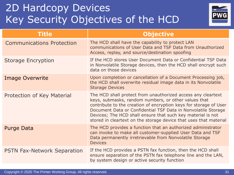### 2D Hardcopy Devices Key Security Objectives of the HCD



| Title                              | <b>Objective</b>                                                                                                                                                                                                                                                                                                                                                                               |
|------------------------------------|------------------------------------------------------------------------------------------------------------------------------------------------------------------------------------------------------------------------------------------------------------------------------------------------------------------------------------------------------------------------------------------------|
| <b>Communications Protection</b>   | The HCD shall have the capability to protect LAN<br>communications of User Data and TSF Data from Unauthorized<br>Access, replay, and source/destination spoofing                                                                                                                                                                                                                              |
| <b>Storage Encryption</b>          | If the HCD stores User Document Data or Confidential TSF Data<br>in Nonvolatile Storage devices, then the HCD shall encrypt such<br>data on those devices                                                                                                                                                                                                                                      |
| <b>Image Overwrite</b>             | Upon completion or cancellation of a Document Processing job,<br>the HCD shall overwrite residual image data in its Nonvolatile<br><b>Storage Devices</b>                                                                                                                                                                                                                                      |
| Protection of Key Material         | The HCD shall protect from unauthorized access any cleartext<br>keys, submasks, random numbers, or other values that<br>contribute to the creation of encryption keys for storage of User<br>Document Data or Confidential TSF Data in Nonvolatile Storage<br>Devices; The HCD shall ensure that such key material is not<br>stored in cleartext on the storage device that uses that material |
| <b>Purge Data</b>                  | The HCD provides a function that an authorized administrator<br>can invoke to make all customer-supplied User Data and TSF<br>Data permanently irretrievable from Nonvolatile Storage<br><b>Devices</b>                                                                                                                                                                                        |
| <b>PSTN Fax-Network Separation</b> | If the HCD provides a PSTN fax function, then the HCD shall<br>ensure separation of the PSTN fax telephone line and the LAN,<br>by system design or active security function                                                                                                                                                                                                                   |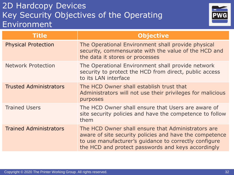#### 2D Hardcopy Devices Key Security Objectives of the Operating Environment



| Title                         | <b>Objective</b>                                                                                                                                                                                                             |
|-------------------------------|------------------------------------------------------------------------------------------------------------------------------------------------------------------------------------------------------------------------------|
| <b>Physical Protection</b>    | The Operational Environment shall provide physical<br>security, commensurate with the value of the HCD and<br>the data it stores or processes                                                                                |
| <b>Network Protection</b>     | The Operational Environment shall provide network<br>security to protect the HCD from direct, public access<br>to its LAN interface                                                                                          |
| <b>Trusted Administrators</b> | The HCD Owner shall establish trust that<br>Administrators will not use their privileges for malicious<br>purposes                                                                                                           |
| <b>Trained Users</b>          | The HCD Owner shall ensure that Users are aware of<br>site security policies and have the competence to follow<br>them                                                                                                       |
| <b>Trained Administrators</b> | The HCD Owner shall ensure that Administrators are<br>aware of site security policies and have the competence<br>to use manufacturer's guidance to correctly configure<br>the HCD and protect passwords and keys accordingly |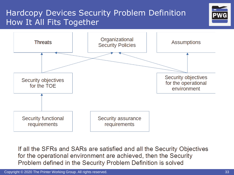#### Hardcopy Devices Security Problem Definition How It All Fits Together





If all the SFRs and SARs are satisfied and all the Security Objectives for the operational environment are achieved, then the Security Problem defined in the Security Problem Definition is solved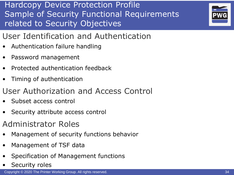

- User Identification and Authentication
- Authentication failure handling
- Password management
- Protected authentication feedback
- Timing of authentication
- User Authorization and Access Control
- Subset access control
- Security attribute access control
- Administrator Roles
- Management of security functions behavior
- Management of TSF data
- Specification of Management functions
- Security roles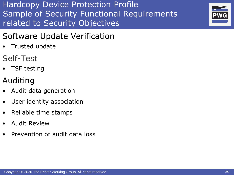

#### Software Update Verification

- Trusted update
- Self-Test
- **TSF testing**
- Auditing
- Audit data generation
- User identity association
- Reliable time stamps
- Audit Review
- Prevention of audit data loss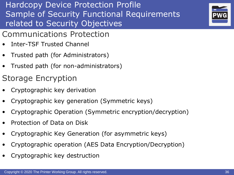- Communications Protection
- Inter-TSF Trusted Channel
- Trusted path (for Administrators)
- Trusted path (for non-administrators)
- Storage Encryption
- Cryptographic key derivation
- Cryptographic key generation (Symmetric keys)
- Cryptographic Operation (Symmetric encryption/decryption)
- Protection of Data on Disk
- Cryptographic Key Generation (for asymmetric keys)
- Cryptographic operation (AES Data Encryption/Decryption)
- Cryptographic key destruction

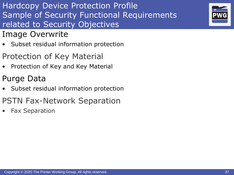- Image Overwrite
- Subset residual information protection
- Protection of Key Material
- Protection of Key and Key Material
- Purge Data
- Subset residual information protection
- PSTN Fax-Network Separation
- Fax Separation

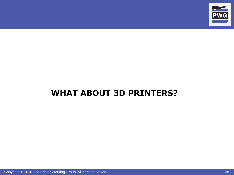

#### **WHAT ABOUT 3D PRINTERS?**

Copyright © 2020 The Printer Working Group. All rights reserved. 38 38 38 38 38 38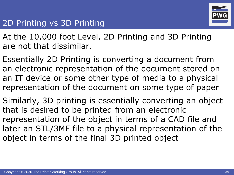

#### 2D Printing vs 3D Printing

At the 10,000 foot Level, 2D Printing and 3D Printing are not that dissimilar.

Essentially 2D Printing is converting a document from an electronic representation of the document stored on an IT device or some other type of media to a physical representation of the document on some type of paper

Similarly, 3D printing is essentially converting an object that is desired to be printed from an electronic representation of the object in terms of a CAD file and later an STL/3MF file to a physical representation of the object in terms of the final 3D printed object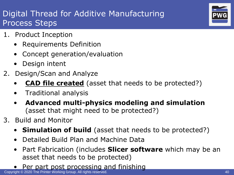#### Digital Thread for Additive Manufacturing Process Steps

- 1. Product Inception
	- Requirements Definition
	- Concept generation/evaluation
	- Design intent
- 2. Design/Scan and Analyze
	- **CAD file created** (asset that needs to be protected?)
	- Traditional analysis
	- **Advanced multi-physics modeling and simulation** (asset that might need to be protected?)
- 3. Build and Monitor
	- **Simulation of build** (asset that needs to be protected?)
	- Detailed Build Plan and Machine Data
	- Part Fabrication (includes **Slicer software** which may be an asset that needs to be protected)
	- Per part post processing and finishing

Copyright © 2020 The Printer Working Group. All rights reserved. 40 All and the Control of the Control of the Control of the Control of the Control of the Control of the Control of the Control of the Control of the Control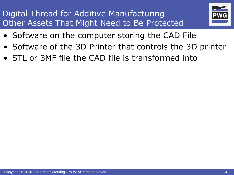#### Digital Thread for Additive Manufacturing Other Assets That Might Need to Be Protected



- Software on the computer storing the CAD File
- Software of the 3D Printer that controls the 3D printer
- STL or 3MF file the CAD file is transformed into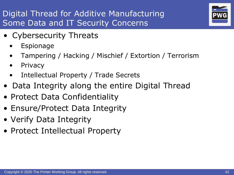#### Digital Thread for Additive Manufacturing Some Data and IT Security Concerns



- Cybersecurity Threats
	- **Espionage**
	- Tampering / Hacking / Mischief / Extortion / Terrorism
	- Privacy
	- Intellectual Property / Trade Secrets
- Data Integrity along the entire Digital Thread
- Protect Data Confidentiality
- Ensure/Protect Data Integrity
- Verify Data Integrity
- Protect Intellectual Property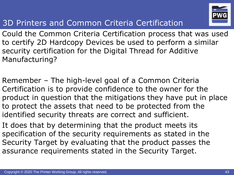

#### 3D Printers and Common Criteria Certification

Could the Common Criteria Certification process that was used to certify 2D Hardcopy Devices be used to perform a similar security certification for the Digital Thread for Additive Manufacturing?

Remember – The high-level goal of a Common Criteria Certification is to provide confidence to the owner for the product in question that the mitigations they have put in place to protect the assets that need to be protected from the identified security threats are correct and sufficient.

It does that by determining that the product meets its specification of the security requirements as stated in the Security Target by evaluating that the product passes the assurance requirements stated in the Security Target.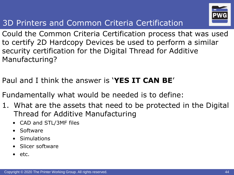

#### 3D Printers and Common Criteria Certification

Could the Common Criteria Certification process that was used to certify 2D Hardcopy Devices be used to perform a similar security certification for the Digital Thread for Additive Manufacturing?

- Paul and I think the answer is '**YES IT CAN BE**'
- Fundamentally what would be needed is to define:
- 1. What are the assets that need to be protected in the Digital Thread for Additive Manufacturing
	- CAD and STL/3MF files
	- Software
	- **Simulations**
	- Slicer software
	- etc.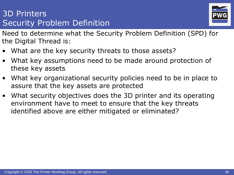#### 3D Printers Security Problem Definition



Need to determine what the Security Problem Definition (SPD) for the Digital Thread is:

- What are the key security threats to those assets?
- What key assumptions need to be made around protection of these key assets
- What key organizational security policies need to be in place to assure that the key assets are protected
- What security objectives does the 3D printer and its operating environment have to meet to ensure that the key threats identified above are either mitigated or eliminated?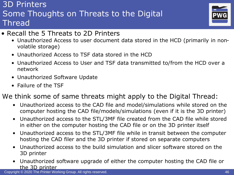#### 3D Printers Some Thoughts on Threats to the Digital Thread



- Recall the 5 Threats to 2D Printers
	- Unauthorized Access to user document data stored in the HCD (primarily in nonvolatile storage)
	- Unauthorized Access to TSF data stored in the HCD
	- Unauthorized Access to User and TSF data transmitted to/from the HCD over a network
	- Unauthorized Software Update
	- Failure of the TSF

#### We think some of same threats might apply to the Digital Thread:

- Unauthorized access to the CAD file and model/simulations while stored on the computer hosting the CAD file/models/simulations (even if it is the 3D printer)
- Unauthorized access to the STL/3MF file created from the CAD file while stored in either on the computer hosting the CAD file or on the 3D printer itself
- Unauthorized access to the STL/3MF file while in transit between the computer hosting the CAD filer and the 3D printer if stored on separate computers
- Unauthorized access to the build simulation and slicer software stored on the 3D printer
- Unauthorized software upgrade of either the computer hosting the CAD file or the 3D printer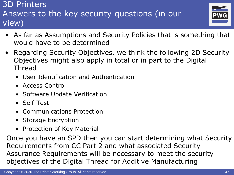#### 3D Printers Answers to the key security questions (in our view)



- As far as Assumptions and Security Policies that is something that would have to be determined
- Regarding Security Objectives, we think the following 2D Security Objectives might also apply in total or in part to the Digital Thread:
	- User Identification and Authentication
	- Access Control
	- Software Update Verification
	- Self-Test
	- Communications Protection
	- Storage Encryption
	- Protection of Key Material

Once you have an SPD then you can start determining what Security Requirements from CC Part 2 and what associated Security Assurance Requirements will be necessary to meet the security objectives of the Digital Thread for Additive Manufacturing